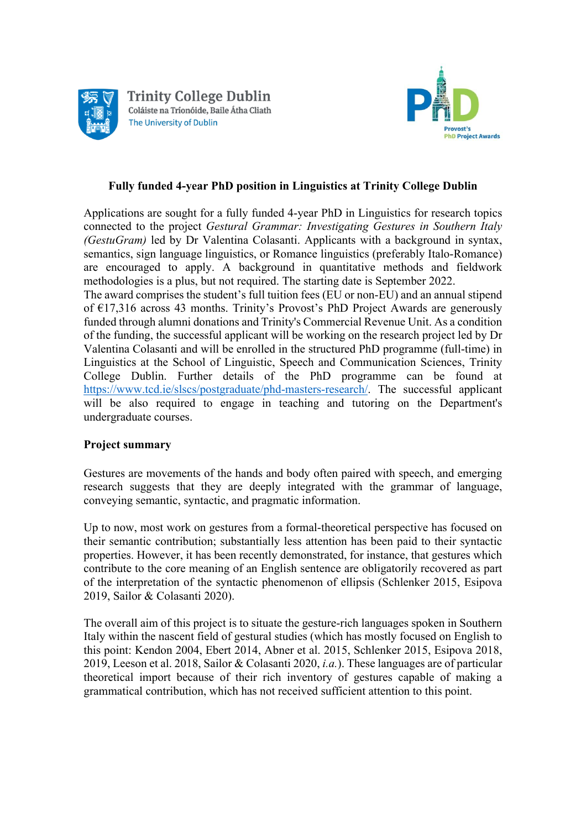



## **Fully funded 4-year PhD position in Linguistics at Trinity College Dublin**

Applications are sought for a fully funded 4-year PhD in Linguistics for research topics connected to the project *Gestural Grammar: Investigating Gestures in Southern Italy (GestuGram)* led by Dr Valentina Colasanti. Applicants with a background in syntax, semantics, sign language linguistics, or Romance linguistics (preferably Italo-Romance) are encouraged to apply. A background in quantitative methods and fieldwork methodologies is a plus, but not required. The starting date is September 2022.

The award comprises the student's full tuition fees (EU or non-EU) and an annual stipend of €17,316 across 43 months. Trinity's Provost's PhD Project Awards are generously funded through alumni donations and Trinity's Commercial Revenue Unit. As a condition of the funding, the successful applicant will be working on the research project led by Dr Valentina Colasanti and will be enrolled in the structured PhD programme (full-time) in Linguistics at the School of Linguistic, Speech and Communication Sciences, Trinity College Dublin. Further details of the PhD programme can be found at https://www.tcd.ie/slscs/postgraduate/phd-masters-research/. The successful applicant will be also required to engage in teaching and tutoring on the Department's undergraduate courses.

## **Project summary**

Gestures are movements of the hands and body often paired with speech, and emerging research suggests that they are deeply integrated with the grammar of language, conveying semantic, syntactic, and pragmatic information.

Up to now, most work on gestures from a formal-theoretical perspective has focused on their semantic contribution; substantially less attention has been paid to their syntactic properties. However, it has been recently demonstrated, for instance, that gestures which contribute to the core meaning of an English sentence are obligatorily recovered as part of the interpretation of the syntactic phenomenon of ellipsis (Schlenker 2015, Esipova 2019, Sailor & Colasanti 2020).

The overall aim of this project is to situate the gesture-rich languages spoken in Southern Italy within the nascent field of gestural studies (which has mostly focused on English to this point: Kendon 2004, Ebert 2014, Abner et al. 2015, Schlenker 2015, Esipova 2018, 2019, Leeson et al. 2018, Sailor & Colasanti 2020, *i.a.*). These languages are of particular theoretical import because of their rich inventory of gestures capable of making a grammatical contribution, which has not received sufficient attention to this point.